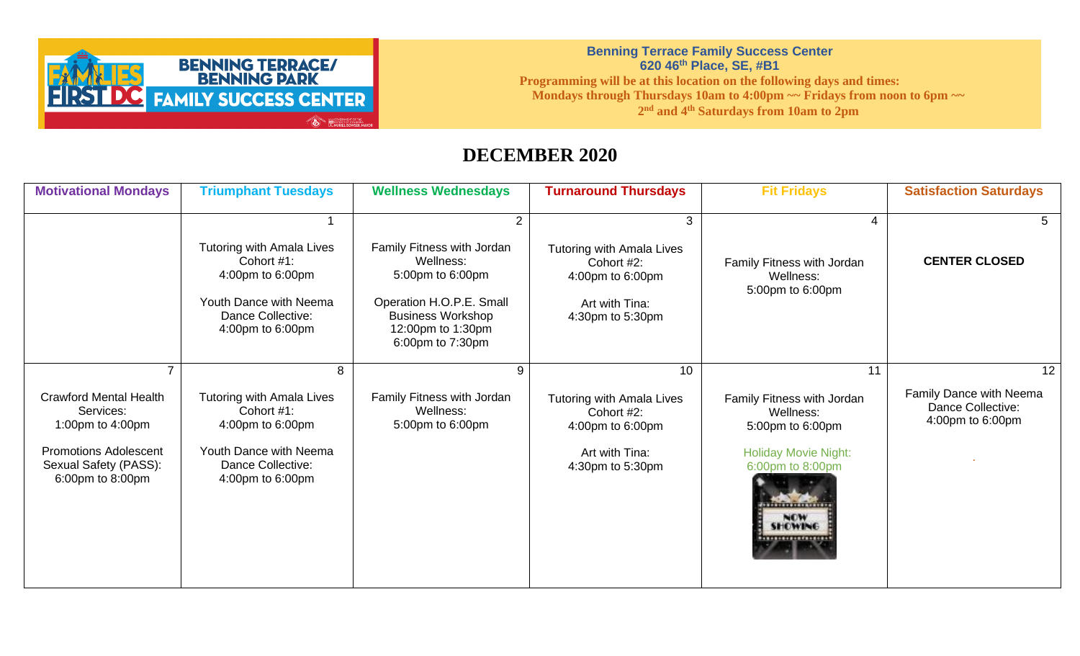

**Benning Terrace Family Success Center 620 46th Place, SE, #B1 Programming will be at this location on the following days and times: Mondays through Thursdays 10am to 4:00pm ~~ Fridays from noon to 6pm ~~ 2 nd and 4th Saturdays from 10am to 2pm**

## **DECEMBER 2020**

| <b>Motivational Mondays</b>                                                                                                                                   | <b>Triumphant Tuesdays</b>                                                                                                                 | <b>Wellness Wednesdays</b>                                                                                                                                        | <b>Turnaround Thursdays</b>                                                                             | <b>Fit Fridays</b>                                                                                                                                                                                       | <b>Satisfaction Saturdays</b>                                          |
|---------------------------------------------------------------------------------------------------------------------------------------------------------------|--------------------------------------------------------------------------------------------------------------------------------------------|-------------------------------------------------------------------------------------------------------------------------------------------------------------------|---------------------------------------------------------------------------------------------------------|----------------------------------------------------------------------------------------------------------------------------------------------------------------------------------------------------------|------------------------------------------------------------------------|
|                                                                                                                                                               | <b>Tutoring with Amala Lives</b><br>Cohort #1:<br>4:00pm to 6:00pm<br>Youth Dance with Neema<br>Dance Collective:<br>4:00pm to 6:00pm      | 2<br>Family Fitness with Jordan<br>Wellness:<br>5:00pm to 6:00pm<br>Operation H.O.P.E. Small<br><b>Business Workshop</b><br>12:00pm to 1:30pm<br>6:00pm to 7:30pm | 3<br>Tutoring with Amala Lives<br>Cohort #2:<br>4:00pm to 6:00pm<br>Art with Tina:<br>4:30pm to 5:30pm  | Family Fitness with Jordan<br>Wellness:<br>5:00pm to 6:00pm                                                                                                                                              | <b>CENTER CLOSED</b>                                                   |
| $\overline{ }$<br><b>Crawford Mental Health</b><br>Services:<br>1:00pm to 4:00pm<br><b>Promotions Adolescent</b><br>Sexual Safety (PASS):<br>6:00pm to 8:00pm | 8<br><b>Tutoring with Amala Lives</b><br>Cohort #1:<br>4:00pm to 6:00pm<br>Youth Dance with Neema<br>Dance Collective:<br>4:00pm to 6:00pm | 9<br>Family Fitness with Jordan<br>Wellness:<br>5:00pm to 6:00pm                                                                                                  | 10<br>Tutoring with Amala Lives<br>Cohort #2:<br>4:00pm to 6:00pm<br>Art with Tina:<br>4:30pm to 5:30pm | 11<br>Family Fitness with Jordan<br>Wellness:<br>5:00pm to 6:00pm<br><b>Holiday Movie Night:</b><br>6:00pm to 8:00pm<br><b><i><u>PERSONAL PROPERTY OF BUILDINGS</u></i></b><br>NOW<br><b>SHOWING</b><br> | 12<br>Family Dance with Neema<br>Dance Collective:<br>4:00pm to 6:00pm |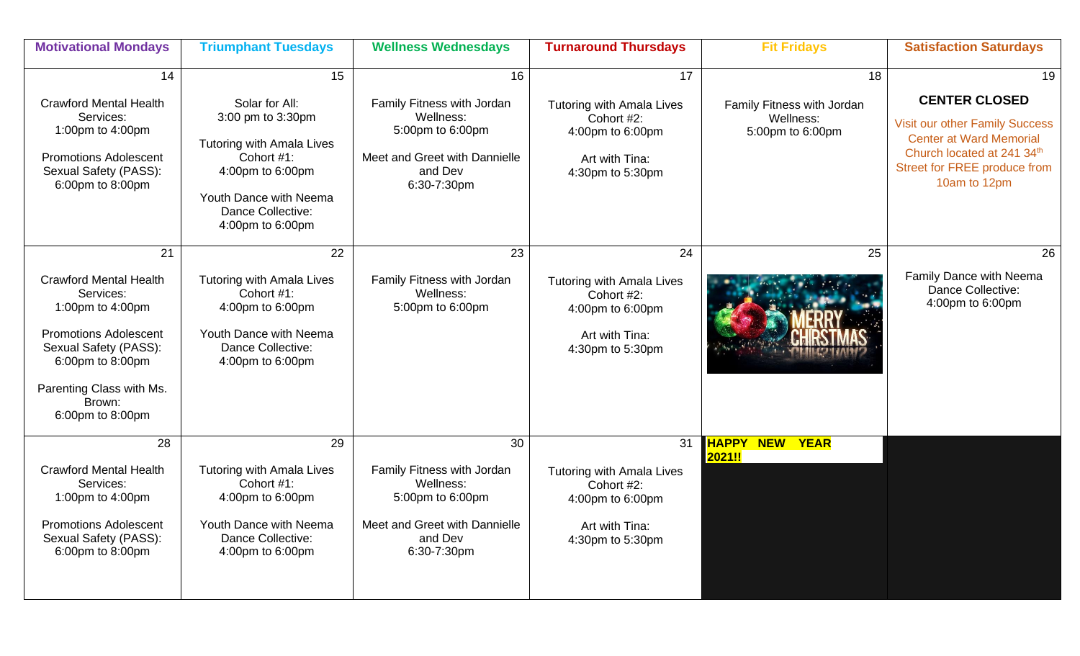| <b>Motivational Mondays</b>                                                                                                                                                                                 | <b>Triumphant Tuesdays</b>                                                                                                                                                         | <b>Wellness Wednesdays</b>                                                                                                   | <b>Turnaround Thursdays</b>                                                                                    | <b>Fit Fridays</b>                                                | <b>Satisfaction Saturdays</b>                                                                                                                                                       |
|-------------------------------------------------------------------------------------------------------------------------------------------------------------------------------------------------------------|------------------------------------------------------------------------------------------------------------------------------------------------------------------------------------|------------------------------------------------------------------------------------------------------------------------------|----------------------------------------------------------------------------------------------------------------|-------------------------------------------------------------------|-------------------------------------------------------------------------------------------------------------------------------------------------------------------------------------|
| 14<br><b>Crawford Mental Health</b><br>Services:<br>1:00pm to 4:00pm<br><b>Promotions Adolescent</b><br>Sexual Safety (PASS):<br>6:00pm to 8:00pm                                                           | 15<br>Solar for All:<br>3:00 pm to 3:30pm<br><b>Tutoring with Amala Lives</b><br>Cohort #1:<br>4:00pm to 6:00pm<br>Youth Dance with Neema<br>Dance Collective:<br>4:00pm to 6:00pm | 16<br>Family Fitness with Jordan<br>Wellness:<br>5:00pm to 6:00pm<br>Meet and Greet with Dannielle<br>and Dev<br>6:30-7:30pm | 17<br><b>Tutoring with Amala Lives</b><br>Cohort #2:<br>4:00pm to 6:00pm<br>Art with Tina:<br>4:30pm to 5:30pm | 18<br>Family Fitness with Jordan<br>Wellness:<br>5:00pm to 6:00pm | 19<br><b>CENTER CLOSED</b><br><b>Visit our other Family Success</b><br><b>Center at Ward Memorial</b><br>Church located at 241 34th<br>Street for FREE produce from<br>10am to 12pm |
| 21<br><b>Crawford Mental Health</b><br>Services:<br>1:00pm to 4:00pm<br><b>Promotions Adolescent</b><br>Sexual Safety (PASS):<br>6:00pm to 8:00pm<br>Parenting Class with Ms.<br>Brown:<br>6:00pm to 8:00pm | 22<br><b>Tutoring with Amala Lives</b><br>Cohort #1:<br>4:00pm to 6:00pm<br>Youth Dance with Neema<br>Dance Collective:<br>4:00pm to 6:00pm                                        | 23<br>Family Fitness with Jordan<br>Wellness:<br>5:00pm to 6:00pm                                                            | 24<br><b>Tutoring with Amala Lives</b><br>Cohort #2:<br>4:00pm to 6:00pm<br>Art with Tina:<br>4:30pm to 5:30pm | 25                                                                | 26<br>Family Dance with Neema<br>Dance Collective:<br>4:00pm to 6:00pm                                                                                                              |
| 28<br><b>Crawford Mental Health</b><br>Services:<br>1:00pm to 4:00pm<br><b>Promotions Adolescent</b><br>Sexual Safety (PASS):<br>6:00pm to 8:00pm                                                           | 29<br><b>Tutoring with Amala Lives</b><br>Cohort #1:<br>4:00pm to 6:00pm<br>Youth Dance with Neema<br>Dance Collective:<br>4:00pm to 6:00pm                                        | 30<br>Family Fitness with Jordan<br>Wellness:<br>5:00pm to 6:00pm<br>Meet and Greet with Dannielle<br>and Dev<br>6:30-7:30pm | 31<br>Tutoring with Amala Lives<br>Cohort #2:<br>4:00pm to 6:00pm<br>Art with Tina:<br>4:30pm to 5:30pm        | HAPPY<br><b>NEW YEAR</b><br>2021!!                                |                                                                                                                                                                                     |